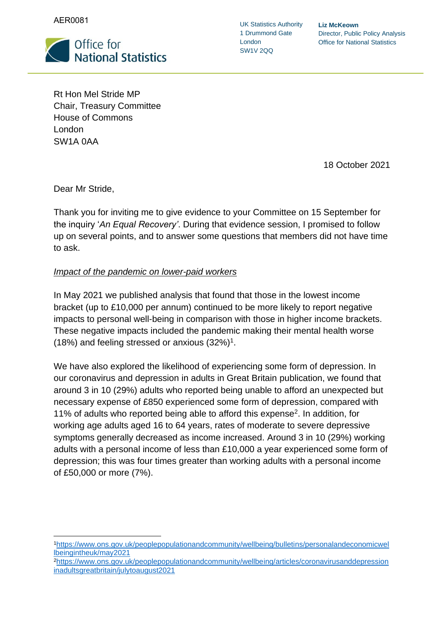AER0081



UK Statistics Authority 1 Drummond Gate London SW1V 2QQ

**Liz McKeown** Director, Public Policy Analysis Office for National Statistics

Rt Hon Mel Stride MP Chair, Treasury Committee House of Commons London SW1A 0AA

18 October 2021

Dear Mr Stride,

Thank you for inviting me to give evidence to your Committee on 15 September for the inquiry '*An Equal Recovery'*. During that evidence session, I promised to follow up on several points, and to answer some questions that members did not have time to ask.

#### *Impact of the pandemic on lower-paid workers*

In May 2021 we published analysis that found that those in the lowest income bracket (up to £10,000 per annum) continued to be more likely to report negative impacts to personal well-being in comparison with those in higher income brackets. These negative impacts included the pandemic making their mental health worse (18%) and feeling stressed or anxious  $(32\%)^1$ .

We have also explored the likelihood of experiencing some form of depression. In our coronavirus and depression in adults in Great Britain publication, we found that around 3 in 10 (29%) adults who reported being unable to afford an unexpected but necessary expense of £850 experienced some form of depression, compared with 11% of adults who reported being able to afford this expense<sup>2</sup>. In addition, for working age adults aged 16 to 64 years, rates of moderate to severe depressive symptoms generally decreased as income increased. Around 3 in 10 (29%) working adults with a personal income of less than £10,000 a year experienced some form of depression; this was four times greater than working adults with a personal income of £50,000 or more (7%).

<sup>1</sup>[https://www.ons.gov.uk/peoplepopulationandcommunity/wellbeing/bulletins/personalandeconomicwel](https://www.ons.gov.uk/peoplepopulationandcommunity/wellbeing/bulletins/personalandeconomicwellbeingintheuk/may2021) [lbeingintheuk/may2021](https://www.ons.gov.uk/peoplepopulationandcommunity/wellbeing/bulletins/personalandeconomicwellbeingintheuk/may2021)

<sup>2</sup>[https://www.ons.gov.uk/peoplepopulationandcommunity/wellbeing/articles/coronavirusanddepression](https://www.ons.gov.uk/peoplepopulationandcommunity/wellbeing/articles/coronavirusanddepressioninadultsgreatbritain/julytoaugust2021) [inadultsgreatbritain/julytoaugust2021](https://www.ons.gov.uk/peoplepopulationandcommunity/wellbeing/articles/coronavirusanddepressioninadultsgreatbritain/julytoaugust2021)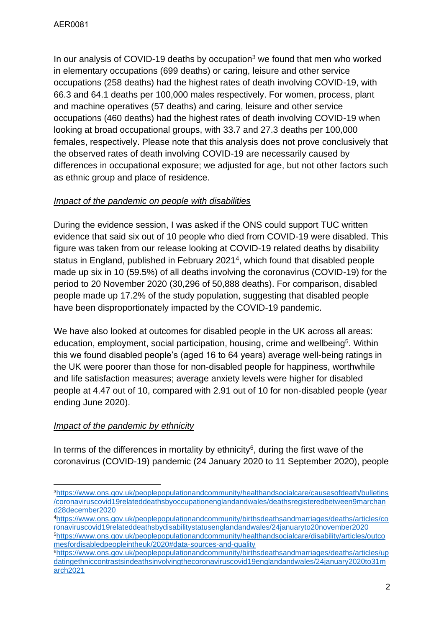In our analysis of COVID-19 deaths by occupation<sup>3</sup> we found that men who worked in elementary occupations (699 deaths) or caring, leisure and other service occupations (258 deaths) had the highest rates of death involving COVID-19, with 66.3 and 64.1 deaths per 100,000 males respectively. For women, process, plant and machine operatives (57 deaths) and caring, leisure and other service occupations (460 deaths) had the highest rates of death involving COVID-19 when looking at broad occupational groups, with 33.7 and 27.3 deaths per 100,000 females, respectively. Please note that this analysis does not prove conclusively that the observed rates of death involving COVID-19 are necessarily caused by differences in occupational exposure; we adjusted for age, but not other factors such as ethnic group and place of residence.

#### *Impact of the pandemic on people with disabilities*

During the evidence session, I was asked if the ONS could support TUC written evidence that said six out of 10 people who died from COVID-19 were disabled. This figure was taken from our release looking at COVID-19 related deaths by disability status in England, published in February 2021<sup>4</sup>, which found that disabled people made up six in 10 (59.5%) of all deaths involving the coronavirus (COVID-19) for the period to 20 November 2020 (30,296 of 50,888 deaths). For comparison, disabled people made up 17.2% of the study population, suggesting that disabled people have been disproportionately impacted by the COVID-19 pandemic.

We have also looked at outcomes for disabled people in the UK across all areas: education, employment, social participation, housing, crime and wellbeing<sup>5</sup>. Within this we found disabled people's (aged 16 to 64 years) average well-being ratings in the UK were poorer than those for non-disabled people for happiness, worthwhile and life satisfaction measures; average anxiety levels were higher for disabled people at 4.47 out of 10, compared with 2.91 out of 10 for non-disabled people (year ending June 2020).

# *Impact of the pandemic by ethnicity*

In terms of the differences in mortality by ethnicity<sup>6</sup>, during the first wave of the coronavirus (COVID-19) pandemic (24 January 2020 to 11 September 2020), people

<sup>3</sup>[https://www.ons.gov.uk/peoplepopulationandcommunity/healthandsocialcare/causesofdeath/bulletins](https://www.ons.gov.uk/peoplepopulationandcommunity/healthandsocialcare/causesofdeath/bulletins/coronaviruscovid19relateddeathsbyoccupationenglandandwales/deathsregisteredbetween9marchand28december2020) [/coronaviruscovid19relateddeathsbyoccupationenglandandwales/deathsregisteredbetween9marchan](https://www.ons.gov.uk/peoplepopulationandcommunity/healthandsocialcare/causesofdeath/bulletins/coronaviruscovid19relateddeathsbyoccupationenglandandwales/deathsregisteredbetween9marchand28december2020) [d28december2020](https://www.ons.gov.uk/peoplepopulationandcommunity/healthandsocialcare/causesofdeath/bulletins/coronaviruscovid19relateddeathsbyoccupationenglandandwales/deathsregisteredbetween9marchand28december2020)

<sup>4</sup>[https://www.ons.gov.uk/peoplepopulationandcommunity/birthsdeathsandmarriages/deaths/articles/co](https://www.ons.gov.uk/peoplepopulationandcommunity/birthsdeathsandmarriages/deaths/articles/coronaviruscovid19relateddeathsbydisabilitystatusenglandandwales/24januaryto20november2020) [ronaviruscovid19relateddeathsbydisabilitystatusenglandandwales/24januaryto20november2020](https://www.ons.gov.uk/peoplepopulationandcommunity/birthsdeathsandmarriages/deaths/articles/coronaviruscovid19relateddeathsbydisabilitystatusenglandandwales/24januaryto20november2020) <sup>5</sup>[https://www.ons.gov.uk/peoplepopulationandcommunity/healthandsocialcare/disability/articles/outco](https://www.ons.gov.uk/peoplepopulationandcommunity/healthandsocialcare/disability/articles/outcomesfordisabledpeopleintheuk/2020#data-sources-and-quality)

[mesfordisabledpeopleintheuk/2020#data-sources-and-quality](https://www.ons.gov.uk/peoplepopulationandcommunity/healthandsocialcare/disability/articles/outcomesfordisabledpeopleintheuk/2020#data-sources-and-quality) <sup>6</sup>[https://www.ons.gov.uk/peoplepopulationandcommunity/birthsdeathsandmarriages/deaths/articles/up](https://www.ons.gov.uk/peoplepopulationandcommunity/birthsdeathsandmarriages/deaths/articles/updatingethniccontrastsindeathsinvolvingthecoronaviruscovid19englandandwales/24january2020to31march2021) [datingethniccontrastsindeathsinvolvingthecoronaviruscovid19englandandwales/24january2020to31m](https://www.ons.gov.uk/peoplepopulationandcommunity/birthsdeathsandmarriages/deaths/articles/updatingethniccontrastsindeathsinvolvingthecoronaviruscovid19englandandwales/24january2020to31march2021) [arch2021](https://www.ons.gov.uk/peoplepopulationandcommunity/birthsdeathsandmarriages/deaths/articles/updatingethniccontrastsindeathsinvolvingthecoronaviruscovid19englandandwales/24january2020to31march2021)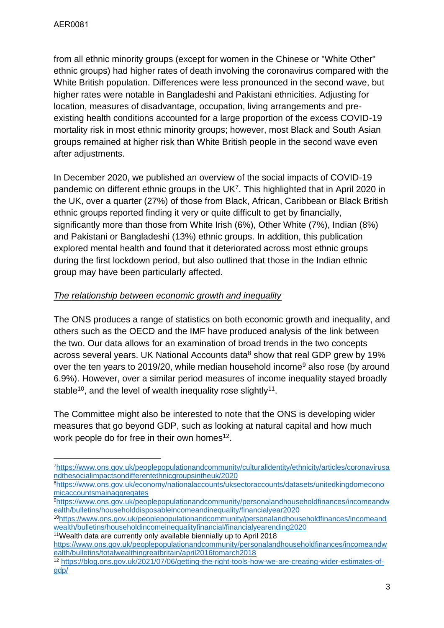from all ethnic minority groups (except for women in the Chinese or "White Other" ethnic groups) had higher rates of death involving the coronavirus compared with the White British population. Differences were less pronounced in the second wave, but higher rates were notable in Bangladeshi and Pakistani ethnicities. Adjusting for location, measures of disadvantage, occupation, living arrangements and preexisting health conditions accounted for a large proportion of the excess COVID-19 mortality risk in most ethnic minority groups; however, most Black and South Asian groups remained at higher risk than White British people in the second wave even after adjustments.

In December 2020, we published an overview of the social impacts of COVID-19 pandemic on different ethnic groups in the  $UK<sup>7</sup>$ . This highlighted that in April 2020 in the UK, over a quarter (27%) of those from Black, African, Caribbean or Black British ethnic groups reported finding it very or quite difficult to get by financially, significantly more than those from White Irish (6%), Other White (7%), Indian (8%) and Pakistani or Bangladeshi (13%) ethnic groups. In addition, this publication explored mental health and found that it deteriorated across most ethnic groups during the first lockdown period, but also outlined that those in the Indian ethnic group may have been particularly affected.

## *The relationship between economic growth and inequality*

The ONS produces a range of statistics on both economic growth and inequality, and others such as the OECD and the IMF have produced analysis of the link between the two. Our data allows for an examination of broad trends in the two concepts across several years. UK National Accounts data $8$  show that real GDP grew by 19% over the ten years to 2019/20, while median household income<sup>9</sup> also rose (by around 6.9%). However, over a similar period measures of income inequality stayed broadly stable<sup>10</sup>, and the level of wealth inequality rose slightly<sup>11</sup>.

The Committee might also be interested to note that the ONS is developing wider measures that go beyond GDP, such as looking at natural capital and how much work people do for free in their own homes<sup>12</sup>.

<sup>9</sup>[https://www.ons.gov.uk/peoplepopulationandcommunity/personalandhouseholdfinances/incomeandw](https://www.ons.gov.uk/peoplepopulationandcommunity/personalandhouseholdfinances/incomeandwealth/bulletins/householddisposableincomeandinequality/financialyear2020) [ealth/bulletins/householddisposableincomeandinequality/financialyear2020](https://www.ons.gov.uk/peoplepopulationandcommunity/personalandhouseholdfinances/incomeandwealth/bulletins/householddisposableincomeandinequality/financialyear2020)

```
11Wealth data are currently only available biennially up to April 2018
```
<sup>7</sup>[https://www.ons.gov.uk/peoplepopulationandcommunity/culturalidentity/ethnicity/articles/coronavirusa](https://www.ons.gov.uk/peoplepopulationandcommunity/culturalidentity/ethnicity/articles/coronavirusandthesocialimpactsondifferentethnicgroupsintheuk/2020) [ndthesocialimpactsondifferentethnicgroupsintheuk/2020](https://www.ons.gov.uk/peoplepopulationandcommunity/culturalidentity/ethnicity/articles/coronavirusandthesocialimpactsondifferentethnicgroupsintheuk/2020)

<sup>8</sup>[https://www.ons.gov.uk/economy/nationalaccounts/uksectoraccounts/datasets/unitedkingdomecono](https://www.ons.gov.uk/economy/nationalaccounts/uksectoraccounts/datasets/unitedkingdomeconomicaccountsmainaggregates) [micaccountsmainaggregates](https://www.ons.gov.uk/economy/nationalaccounts/uksectoraccounts/datasets/unitedkingdomeconomicaccountsmainaggregates)

<sup>10</sup>[https://www.ons.gov.uk/peoplepopulationandcommunity/personalandhouseholdfinances/incomeand](https://www.ons.gov.uk/peoplepopulationandcommunity/personalandhouseholdfinances/incomeandwealth/bulletins/householdincomeinequalityfinancial/financialyearending2020) [wealth/bulletins/householdincomeinequalityfinancial/financialyearending2020](https://www.ons.gov.uk/peoplepopulationandcommunity/personalandhouseholdfinances/incomeandwealth/bulletins/householdincomeinequalityfinancial/financialyearending2020)

[https://www.ons.gov.uk/peoplepopulationandcommunity/personalandhouseholdfinances/incomeandw](https://www.ons.gov.uk/peoplepopulationandcommunity/personalandhouseholdfinances/incomeandwealth/bulletins/totalwealthingreatbritain/april2016tomarch2018) [ealth/bulletins/totalwealthingreatbritain/april2016tomarch2018](https://www.ons.gov.uk/peoplepopulationandcommunity/personalandhouseholdfinances/incomeandwealth/bulletins/totalwealthingreatbritain/april2016tomarch2018)

<sup>12</sup> [https://blog.ons.gov.uk/2021/07/06/getting-the-right-tools-how-we-are-creating-wider-estimates-of](https://blog.ons.gov.uk/2021/07/06/getting-the-right-tools-how-we-are-creating-wider-estimates-of-gdp/)[gdp/](https://blog.ons.gov.uk/2021/07/06/getting-the-right-tools-how-we-are-creating-wider-estimates-of-gdp/)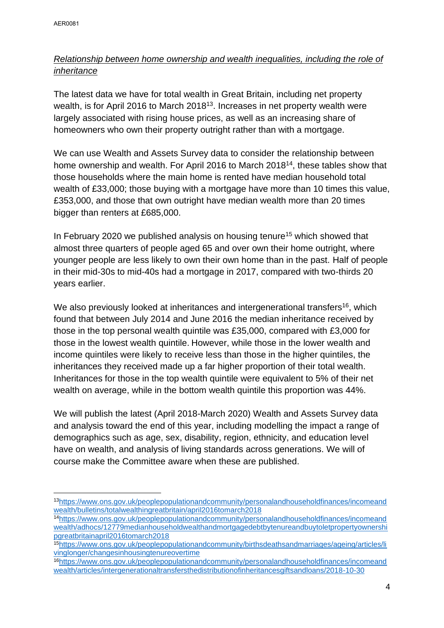# *Relationship between home ownership and wealth inequalities, including the role of inheritance*

The latest data we have for total wealth in Great Britain, including net property wealth, is for April 2016 to March 2018<sup>13</sup>. Increases in net property wealth were largely associated with rising house prices, as well as an increasing share of homeowners who own their property outright rather than with a mortgage.

We can use Wealth and Assets Survey data to consider the relationship between home ownership and wealth. For April 2016 to March 2018<sup>14</sup>, these tables show that those households where the main home is rented have median household total wealth of £33,000; those buying with a mortgage have more than 10 times this value, £353,000, and those that own outright have median wealth more than 20 times bigger than renters at £685,000.

In February 2020 we published analysis on housing tenure<sup>15</sup> which showed that almost three quarters of people aged 65 and over own their home outright, where younger people are less likely to own their own home than in the past. Half of people in their mid-30s to mid-40s had a mortgage in 2017, compared with two-thirds 20 years earlier.

We also previously looked at inheritances and intergenerational transfers<sup>16</sup>, which found that between July 2014 and June 2016 the median inheritance received by those in the top personal wealth quintile was £35,000, compared with £3,000 for those in the lowest wealth quintile. However, while those in the lower wealth and income quintiles were likely to receive less than those in the higher quintiles, the inheritances they received made up a far higher proportion of their total wealth. Inheritances for those in the top wealth quintile were equivalent to 5% of their net wealth on average, while in the bottom wealth quintile this proportion was 44%.

We will publish the latest (April 2018-March 2020) Wealth and Assets Survey data and analysis toward the end of this year, including modelling the impact a range of demographics such as age, sex, disability, region, ethnicity, and education level have on wealth, and analysis of living standards across generations. We will of course make the Committee aware when these are published.

<sup>13</sup>[https://www.ons.gov.uk/peoplepopulationandcommunity/personalandhouseholdfinances/incomeand](https://www.ons.gov.uk/peoplepopulationandcommunity/personalandhouseholdfinances/incomeandwealth/bulletins/totalwealthingreatbritain/april2016tomarch2018) [wealth/bulletins/totalwealthingreatbritain/april2016tomarch2018](https://www.ons.gov.uk/peoplepopulationandcommunity/personalandhouseholdfinances/incomeandwealth/bulletins/totalwealthingreatbritain/april2016tomarch2018)

<sup>14</sup>[https://www.ons.gov.uk/peoplepopulationandcommunity/personalandhouseholdfinances/incomeand](https://www.ons.gov.uk/peoplepopulationandcommunity/personalandhouseholdfinances/incomeandwealth/adhocs/12779medianhouseholdwealthandmortgagedebtbytenureandbuytoletpropertyownershipgreatbritainapril2016tomarch2018) [wealth/adhocs/12779medianhouseholdwealthandmortgagedebtbytenureandbuytoletpropertyownershi](https://www.ons.gov.uk/peoplepopulationandcommunity/personalandhouseholdfinances/incomeandwealth/adhocs/12779medianhouseholdwealthandmortgagedebtbytenureandbuytoletpropertyownershipgreatbritainapril2016tomarch2018) [pgreatbritainapril2016tomarch2018](https://www.ons.gov.uk/peoplepopulationandcommunity/personalandhouseholdfinances/incomeandwealth/adhocs/12779medianhouseholdwealthandmortgagedebtbytenureandbuytoletpropertyownershipgreatbritainapril2016tomarch2018)

<sup>15</sup>[https://www.ons.gov.uk/peoplepopulationandcommunity/birthsdeathsandmarriages/ageing/articles/li](https://www.ons.gov.uk/peoplepopulationandcommunity/birthsdeathsandmarriages/ageing/articles/livinglonger/changesinhousingtenureovertime) [vinglonger/changesinhousingtenureovertime](https://www.ons.gov.uk/peoplepopulationandcommunity/birthsdeathsandmarriages/ageing/articles/livinglonger/changesinhousingtenureovertime)

<sup>16</sup>[https://www.ons.gov.uk/peoplepopulationandcommunity/personalandhouseholdfinances/incomeand](https://www.ons.gov.uk/peoplepopulationandcommunity/personalandhouseholdfinances/incomeandwealth/articles/intergenerationaltransfersthedistributionofinheritancesgiftsandloans/2018-10-30) [wealth/articles/intergenerationaltransfersthedistributionofinheritancesgiftsandloans/2018-10-30](https://www.ons.gov.uk/peoplepopulationandcommunity/personalandhouseholdfinances/incomeandwealth/articles/intergenerationaltransfersthedistributionofinheritancesgiftsandloans/2018-10-30)